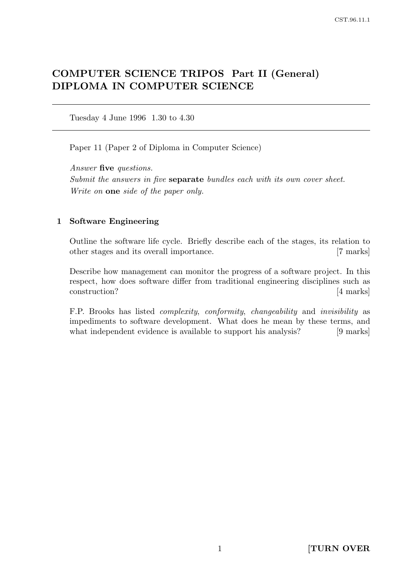# COMPUTER SCIENCE TRIPOS Part II (General) DIPLOMA IN COMPUTER SCIENCE

Tuesday 4 June 1996 1.30 to 4.30

Paper 11 (Paper 2 of Diploma in Computer Science)

Answer five questions. Submit the answers in five separate bundles each with its own cover sheet. Write on **one** side of the paper only.

## 1 Software Engineering

Outline the software life cycle. Briefly describe each of the stages, its relation to other stages and its overall importance. [7 marks]

Describe how management can monitor the progress of a software project. In this respect, how does software differ from traditional engineering disciplines such as construction? [4 marks]

F.P. Brooks has listed complexity, conformity, changeability and invisibility as impediments to software development. What does he mean by these terms, and what independent evidence is available to support his analysis? [9 marks]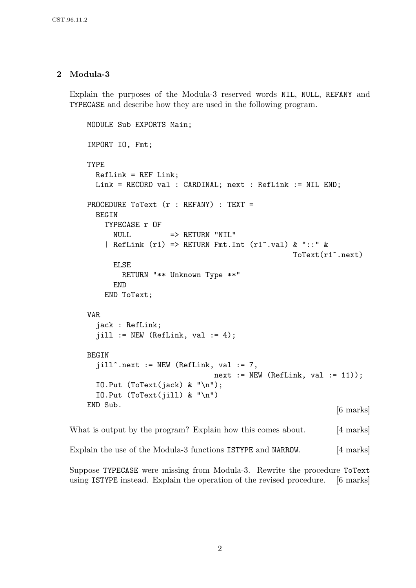## 2 Modula-3

Explain the purposes of the Modula-3 reserved words NIL, NULL, REFANY and TYPECASE and describe how they are used in the following program.

```
MODULE Sub EXPORTS Main;
IMPORT IO, Fmt;
TYPE
 RefLink = REF Link;Link = RECORD val : CARDINAL; next : RefLink := NIL END;
PROCEDURE ToText (r : REFANY) : TEXT =
  BEGIN
   TYPECASE r OF
     NULL => RETURN "NIL"
    | RefLink (r1) => RETURN Fmt.Int (r1^{\degree}.val) & "::" &
                                             ToText(r1^.next)
     ELSE
       RETURN "** Unknown Type **"
     END
   END ToText;
VAR
  jack : RefLink;
  jill := NEW (RefLink, val := 4);BEGIN
  jill^.next := NEW (RefLink, val := 7,
                           next := NEW (RefLink, val := 11));IO.Put (ToText(jack) & "\n");
  IO.Put (ToText(jill) & "\n")
\text{END} Sub. [6 \text{ marks}]
```
What is output by the program? Explain how this comes about. [4 marks]

Explain the use of the Modula-3 functions ISTYPE and NARROW. [4 marks]

Suppose TYPECASE were missing from Modula-3. Rewrite the procedure ToText using ISTYPE instead. Explain the operation of the revised procedure. [6 marks]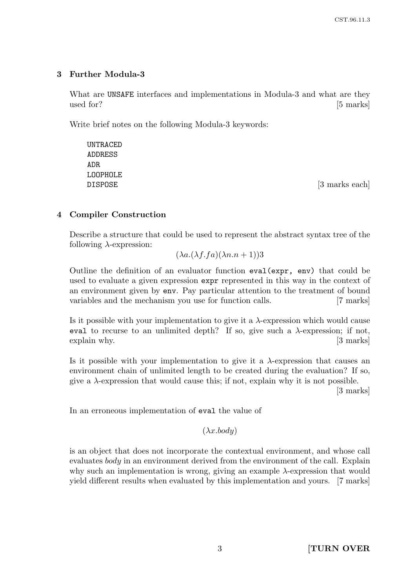# 3 Further Modula-3

What are UNSAFE interfaces and implementations in Modula-3 and what are they used for? [5 marks]

Write brief notes on the following Modula-3 keywords:

UNTRACED ADDRESS ADR LOOPHOLE DISPOSE [3 marks each]

# 4 Compiler Construction

Describe a structure that could be used to represent the abstract syntax tree of the following  $\lambda$ -expression:

 $(\lambda a.(\lambda f.fa)(\lambda n.n+1))$ 3

Outline the definition of an evaluator function eval(expr, env) that could be used to evaluate a given expression expr represented in this way in the context of an environment given by env. Pay particular attention to the treatment of bound variables and the mechanism you use for function calls. [7 marks]

Is it possible with your implementation to give it a  $\lambda$ -expression which would cause eval to recurse to an unlimited depth? If so, give such a  $\lambda$ -expression; if not, explain why. [3 marks]

Is it possible with your implementation to give it a  $\lambda$ -expression that causes an environment chain of unlimited length to be created during the evaluation? If so, give a  $\lambda$ -expression that would cause this; if not, explain why it is not possible.

[3 marks]

In an erroneous implementation of eval the value of

 $(\lambda x. body)$ 

is an object that does not incorporate the contextual environment, and whose call evaluates body in an environment derived from the environment of the call. Explain why such an implementation is wrong, giving an example  $\lambda$ -expression that would yield different results when evaluated by this implementation and yours. [7 marks]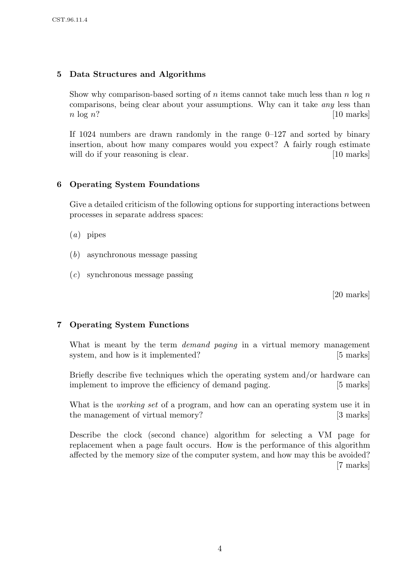## 5 Data Structures and Algorithms

Show why comparison-based sorting of n items cannot take much less than  $n \log n$ comparisons, being clear about your assumptions. Why can it take any less than  $n \log n$ ? [10 marks]

If 1024 numbers are drawn randomly in the range  $0-127$  and sorted by binary insertion, about how many compares would you expect? A fairly rough estimate will do if your reasoning is clear. [10 marks]

## 6 Operating System Foundations

Give a detailed criticism of the following options for supporting interactions between processes in separate address spaces:

- $(a)$  pipes
- (b) asynchronous message passing
- (c) synchronous message passing

[20 marks]

## 7 Operating System Functions

What is meant by the term *demand paging* in a virtual memory management system, and how is it implemented? [5 marks]

Briefly describe five techniques which the operating system and/or hardware can implement to improve the efficiency of demand paging. [5 marks]

What is the *working set* of a program, and how can an operating system use it in the management of virtual memory? [3 marks]

Describe the clock (second chance) algorithm for selecting a VM page for replacement when a page fault occurs. How is the performance of this algorithm affected by the memory size of the computer system, and how may this be avoided? [7 marks]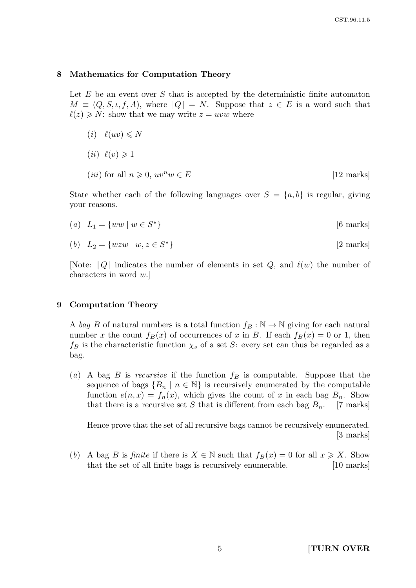#### 8 Mathematics for Computation Theory

Let  $E$  be an event over  $S$  that is accepted by the deterministic finite automaton  $M \equiv (Q, S, \iota, f, A),$  where  $|Q| = N$ . Suppose that  $z \in E$  is a word such that  $\ell(z) \geq N$ : show that we may write  $z = uvw$  where

 $(i)$   $\ell(uv) \leq N$  $(ii) \ell(v) \geq 1$ (*iii*) for all  $n \geq 0$ ,  $uv^n w \in E$  [12 marks]

State whether each of the following languages over  $S = \{a, b\}$  is regular, giving your reasons.

(a)  $L_1 = \{ww \mid w \in S^*$ [6 marks]

$$
(b) \quad L_2 = \{wzw \mid w, z \in S^*\}\tag{2 marks}
$$

[Note:  $|Q|$  indicates the number of elements in set Q, and  $\ell(w)$  the number of characters in word w.]

#### 9 Computation Theory

A bag B of natural numbers is a total function  $f_B : \mathbb{N} \to \mathbb{N}$  giving for each natural number x the count  $f_B(x)$  of occurrences of x in B. If each  $f_B(x) = 0$  or 1, then  $f_B$  is the characteristic function  $\chi_s$  of a set S: every set can thus be regarded as a bag.

(a) A bag B is recursive if the function  $f_B$  is computable. Suppose that the sequence of bags  ${B_n \mid n \in \mathbb{N}}$  is recursively enumerated by the computable function  $e(n, x) = f_n(x)$ , which gives the count of x in each bag  $B_n$ . Show that there is a recursive set S that is different from each bag  $B_n$ . [7 marks]

Hence prove that the set of all recursive bags cannot be recursively enumerated. [3 marks]

(b) A bag B is finite if there is  $X \in \mathbb{N}$  such that  $f_B(x) = 0$  for all  $x \geq X$ . Show that the set of all finite bags is recursively enumerable. [10 marks]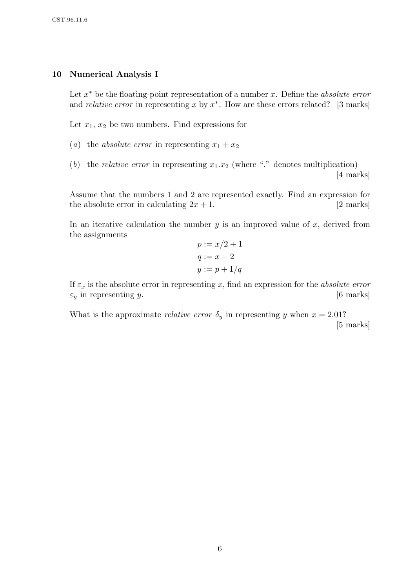## 10 Numerical Analysis I

Let  $x^*$  be the floating-point representation of a number x. Define the *absolute error* and *relative error* in representing x by  $x^*$ . How are these errors related? [3 marks]

Let  $x_1, x_2$  be two numbers. Find expressions for

- (a) the absolute error in representing  $x_1 + x_2$
- (b) the *relative error* in representing  $x_1.x_2$  (where "." denotes multiplication) [4 marks]

Assume that the numbers 1 and 2 are represented exactly. Find an expression for the absolute error in calculating  $2x + 1$ . [2 marks]

In an iterative calculation the number  $y$  is an improved value of  $x$ , derived from the assignments

$$
p := x/2 + 1
$$

$$
q := x - 2
$$

$$
y := p + 1/q
$$

If  $\varepsilon_x$  is the absolute error in representing x, find an expression for the absolute error  $\varepsilon_y$  in representing y. [6 marks]

What is the approximate *relative error*  $\delta_y$  in representing y when  $x = 2.01$ ? [5 marks]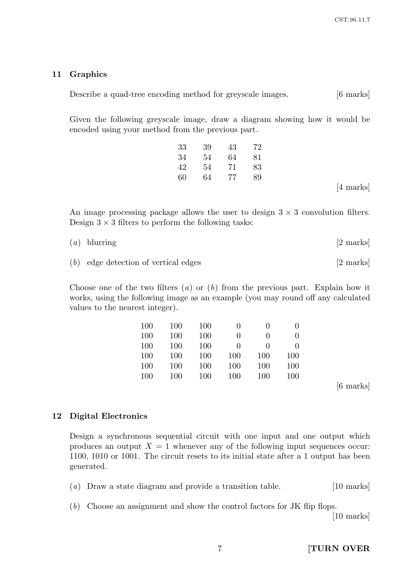### 11 Graphics

Describe a quad-tree encoding method for greyscale images. [6 marks]

Given the following greyscale image, draw a diagram showing how it would be encoded using your method from the previous part.

| 33 | 39 | 43 | 72 |
|----|----|----|----|
| 34 | 54 | 64 | 81 |
| 42 | 54 | 71 | 83 |
| 60 | 64 | 77 | 89 |
|    |    |    |    |

[4 marks]

An image processing package allows the user to design  $3 \times 3$  convolution filters. Design  $3 \times 3$  filters to perform the following tasks:

| $(a)$ blurring | $[2 \text{ marks}]$ |
|----------------|---------------------|
|                |                     |

(b) edge detection of vertical edges [2 marks]

Choose one of the two filters  $(a)$  or  $(b)$  from the previous part. Explain how it works, using the following image as an example (you may round off any calculated values to the nearest integer).

| 100 | 100 | 100 | $\left( \right)$ | $\mathbf{0}$      | $\mathbf{0}$ |
|-----|-----|-----|------------------|-------------------|--------------|
| 100 | 100 | 100 | $\theta$         | $\mathbf{\Omega}$ | $\mathbf{0}$ |
| 100 | 100 | 100 | $\mathbf{0}$     | $\mathbf{\Omega}$ | $\mathbf{0}$ |
| 100 | 100 | 100 | 100              | 100               | 100          |
| 100 | 100 | 100 | 100              | 100               | 100          |
| 100 | 100 | 100 | 100              | 100               | 100          |
|     |     |     |                  |                   |              |

[6 marks]

## 12 Digital Electronics

Design a synchronous sequential circuit with one input and one output which produces an output  $X = 1$  whenever any of the following input sequences occur: 1100, 1010 or 1001. The circuit resets to its initial state after a 1 output has been generated.

- (a) Draw a state diagram and provide a transition table. [10 marks]
- (b) Choose an assignment and show the control factors for JK flip flops.

[10 marks]